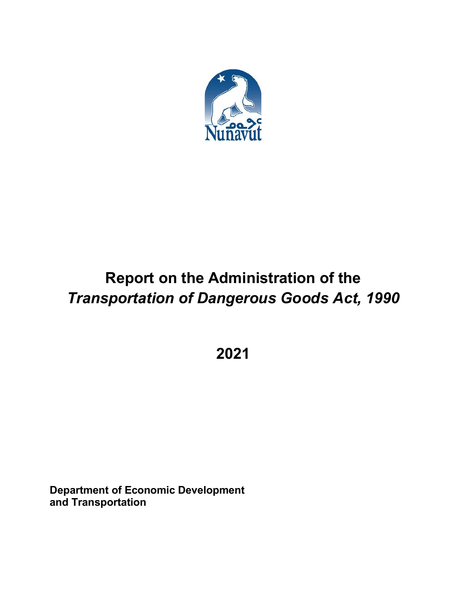

# **Report on the Administration of the** *Transportation of Dangerous Goods Act, 1990*

**2021**

**Department of Economic Development and Transportation**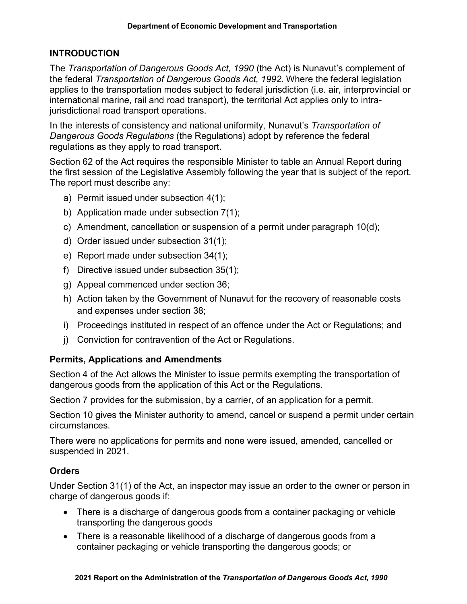## **INTRODUCTION**

The *Transportation of Dangerous Goods Act, 1990* (the Act) is Nunavut's complement of the federal *Transportation of Dangerous Goods Act, 1992*. Where the federal legislation applies to the transportation modes subject to federal jurisdiction (i.e. air, interprovincial or international marine, rail and road transport), the territorial Act applies only to intrajurisdictional road transport operations.

In the interests of consistency and national uniformity, Nunavut's *Transportation of Dangerous Goods Regulations* (the Regulations) adopt by reference the federal regulations as they apply to road transport.

Section 62 of the Act requires the responsible Minister to table an Annual Report during the first session of the Legislative Assembly following the year that is subject of the report. The report must describe any:

- a) Permit issued under subsection 4(1);
- b) Application made under subsection 7(1);
- c) Amendment, cancellation or suspension of a permit under paragraph 10(d);
- d) Order issued under subsection 31(1);
- e) Report made under subsection 34(1);
- f) Directive issued under subsection 35(1);
- g) Appeal commenced under section 36;
- h) Action taken by the Government of Nunavut for the recovery of reasonable costs and expenses under section 38;
- i) Proceedings instituted in respect of an offence under the Act or Regulations; and
- j) Conviction for contravention of the Act or Regulations.

## **Permits, Applications and Amendments**

Section 4 of the Act allows the Minister to issue permits exempting the transportation of dangerous goods from the application of this Act or the Regulations.

Section 7 provides for the submission, by a carrier, of an application for a permit.

Section 10 gives the Minister authority to amend, cancel or suspend a permit under certain circumstances.

There were no applications for permits and none were issued, amended, cancelled or suspended in 2021.

## **Orders**

Under Section 31(1) of the Act, an inspector may issue an order to the owner or person in charge of dangerous goods if:

- There is a discharge of dangerous goods from a container packaging or vehicle transporting the dangerous goods
- There is a reasonable likelihood of a discharge of dangerous goods from a container packaging or vehicle transporting the dangerous goods; or